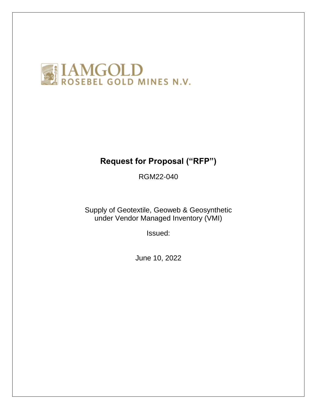

# **Request for Proposal ("RFP")**

RGM22-040

Supply of Geotextile, Geoweb & Geosynthetic under Vendor Managed Inventory (VMI)

Issued:

June 10, 2022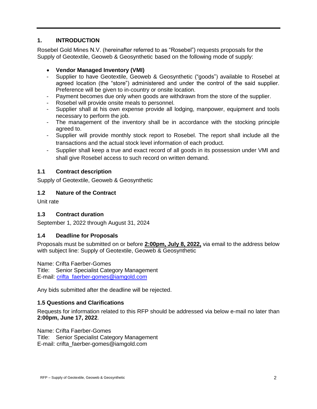# **1. INTRODUCTION**

Rosebel Gold Mines N.V. (hereinafter referred to as "Rosebel") requests proposals for the Supply of Geotextile, Geoweb & Geosynthetic based on the following mode of supply:

# **Vendor Managed Inventory (VMI)**

- Supplier to have Geotextile, Geoweb & Geosynthetic ("goods") available to Rosebel at agreed location (the "store") administered and under the control of the said supplier. Preference will be given to in-country or onsite location.
- Payment becomes due only when goods are withdrawn from the store of the supplier.
- Rosebel will provide onsite meals to personnel.
- Supplier shall at his own expense provide all lodging, manpower, equipment and tools necessary to perform the job.
- The management of the inventory shall be in accordance with the stocking principle agreed to.
- Supplier will provide monthly stock report to Rosebel. The report shall include all the transactions and the actual stock level information of each product.
- Supplier shall keep a true and exact record of all goods in its possession under VMI and shall give Rosebel access to such record on written demand.

# **1.1 Contract description**

Supply of Geotextile, Geoweb & Geosynthetic

#### **1.2 Nature of the Contract**

Unit rate

#### **1.3 Contract duration**

September 1, 2022 through August 31, 2024

#### **1.4 Deadline for Proposals**

Proposals must be submitted on or before **2:00pm, July 8, 2022,** via email to the address below with subject line: Supply of Geotextile, Geoweb & Geosynthetic

Name: Crifta Faerber-Gomes

Title: Senior Specialist Category Management E-mail: [crifta\\_faerber-gomes@iamgold.com](mailto:crifta_faerber-gomes@iamgold.com)

Any bids submitted after the deadline will be rejected.

#### **1.5 Questions and Clarifications**

Requests for information related to this RFP should be addressed via below e-mail no later than **2:00pm, June 17, 2022**.

Name: Crifta Faerber-Gomes Title: Senior Specialist Category Management E-mail: crifta\_faerber-gomes@iamgold.com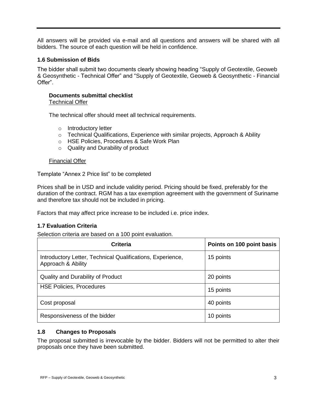All answers will be provided via e-mail and all questions and answers will be shared with all bidders. The source of each question will be held in confidence.

#### **1.6 Submission of Bids**

The bidder shall submit two documents clearly showing heading "Supply of Geotextile, Geoweb & Geosynthetic - Technical Offer" and "Supply of Geotextile, Geoweb & Geosynthetic - Financial Offer".

#### **Documents submittal checklist** Technical Offer

The technical offer should meet all technical requirements.

- o Introductory letter
- $\circ$  Technical Qualifications, Experience with similar projects, Approach & Ability
- o HSE Policies, Procedures & Safe Work Plan
- o Quality and Durability of product

#### Financial Offer

Template "Annex 2 Price list" to be completed

Prices shall be in USD and include validity period. Pricing should be fixed, preferably for the duration of the contract. RGM has a tax exemption agreement with the government of Suriname and therefore tax should not be included in pricing.

Factors that may affect price increase to be included i.e. price index.

#### **1.7 Evaluation Criteria**

Selection criteria are based on a 100 point evaluation.

| <b>Criteria</b>                                                                  | Points on 100 point basis |
|----------------------------------------------------------------------------------|---------------------------|
| Introductory Letter, Technical Qualifications, Experience,<br>Approach & Ability | 15 points                 |
| Quality and Durability of Product                                                | 20 points                 |
| <b>HSE Policies, Procedures</b>                                                  | 15 points                 |
| Cost proposal                                                                    | 40 points                 |
| Responsiveness of the bidder                                                     | 10 points                 |

#### **1.8 Changes to Proposals**

The proposal submitted is irrevocable by the bidder. Bidders will not be permitted to alter their proposals once they have been submitted.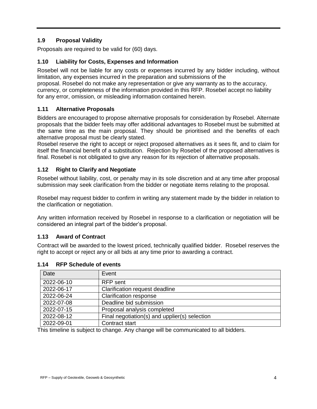# **1.9 Proposal Validity**

Proposals are required to be valid for (60) days.

#### **1.10 Liability for Costs, Expenses and Information**

Rosebel will not be liable for any costs or expenses incurred by any bidder including, without limitation, any expenses incurred in the preparation and submissions of the proposal. Rosebel do not make any representation or give any warranty as to the accuracy, currency, or completeness of the information provided in this RFP. Rosebel accept no liability for any error, omission, or misleading information contained herein.

# **1.11 Alternative Proposals**

Bidders are encouraged to propose alternative proposals for consideration by Rosebel. Alternate proposals that the bidder feels may offer additional advantages to Rosebel must be submitted at the same time as the main proposal. They should be prioritised and the benefits of each alternative proposal must be clearly stated.

Rosebel reserve the right to accept or reject proposed alternatives as it sees fit, and to claim for itself the financial benefit of a substitution. Rejection by Rosebel of the proposed alternatives is final. Rosebel is not obligated to give any reason for its rejection of alternative proposals.

#### **1.12 Right to Clarify and Negotiate**

Rosebel without liability, cost, or penalty may in its sole discretion and at any time after proposal submission may seek clarification from the bidder or negotiate items relating to the proposal.

Rosebel may request bidder to confirm in writing any statement made by the bidder in relation to the clarification or negotiation.

Any written information received by Rosebel in response to a clarification or negotiation will be considered an integral part of the bidder's proposal.

#### **1.13 Award of Contract**

Contract will be awarded to the lowest priced, technically qualified bidder. Rosebel reserves the right to accept or reject any or all bids at any time prior to awarding a contract.

| Date       | Event                                         |
|------------|-----------------------------------------------|
| 2022-06-10 | <b>RFP</b> sent                               |
| 2022-06-17 | Clarification request deadline                |
| 2022-06-24 | <b>Clarification response</b>                 |
| 2022-07-08 | Deadline bid submission                       |
| 2022-07-15 | Proposal analysis completed                   |
| 2022-08-12 | Final negotiation(s) and upplier(s) selection |
| 2022-09-01 | Contract start                                |

#### **1.14 RFP Schedule of events**

This timeline is subject to change. Any change will be communicated to all bidders.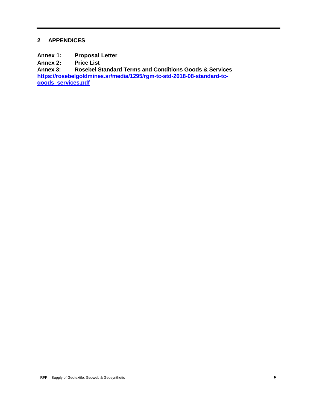#### **2 APPENDICES**

**Annex 1: Proposal Letter**

**Annex 2: Price List**

**Annex 3: Rosebel Standard Terms and Conditions Goods & Services [https://rosebelgoldmines.sr/media/1295/rgm-tc-std-2018-08-standard-tc](https://rosebelgoldmines.sr/media/1295/rgm-tc-std-2018-08-standard-tc-goods_services.pdf)[goods\\_services.pdf](https://rosebelgoldmines.sr/media/1295/rgm-tc-std-2018-08-standard-tc-goods_services.pdf)**